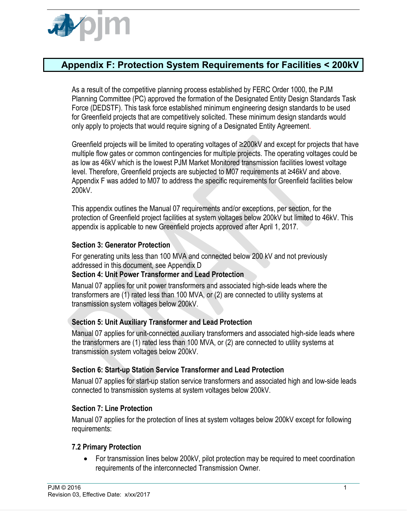

# **Appendix F: Protection System Requirements for Facilities < 200kV**

As a result of the competitive planning process established by FERC Order 1000, the PJM Planning Committee (PC) approved the formation of the Designated Entity Design Standards Task Force (DEDSTF). This task force established minimum engineering design standards to be used for Greenfield projects that are competitively solicited. These minimum design standards would only apply to projects that would require signing of a Designated Entity Agreement.

Greenfield projects will be limited to operating voltages of ≥200kV and except for projects that have multiple flow gates or common contingencies for multiple projects. The operating voltages could be as low as 46kV which is the lowest PJM Market Monitored transmission facilities lowest voltage level. Therefore, Greenfield projects are subjected to M07 requirements at ≥46kV and above. Appendix F was added to M07 to address the specific requirements for Greenfield facilities below 200kV.

This appendix outlines the Manual 07 requirements and/or exceptions, per section, for the protection of Greenfield project facilities at system voltages below 200kV but limited to 46kV. This appendix is applicable to new Greenfield projects approved after April 1, 2017.

#### **Section 3: Generator Protection**

For generating units less than 100 MVA and connected below 200 kV and not previously addressed in this document, see Appendix D

#### **Section 4: Unit Power Transformer and Lead Protection**

Manual 07 applies for unit power transformers and associated high-side leads where the transformers are (1) rated less than 100 MVA, or (2) are connected to utility systems at transmission system voltages below 200kV.

#### **Section 5: Unit Auxiliary Transformer and Lead Protection**

Manual 07 applies for unit-connected auxiliary transformers and associated high-side leads where the transformers are (1) rated less than 100 MVA, or (2) are connected to utility systems at transmission system voltages below 200kV.

#### **Section 6: Start-up Station Service Transformer and Lead Protection**

Manual 07 applies for start-up station service transformers and associated high and low-side leads connected to transmission systems at system voltages below 200kV.

#### **Section 7: Line Protection**

Manual 07 applies for the protection of lines at system voltages below 200kV except for following requirements:

#### **7.2 Primary Protection**

• For transmission lines below 200kV, pilot protection may be required to meet coordination requirements of the interconnected Transmission Owner.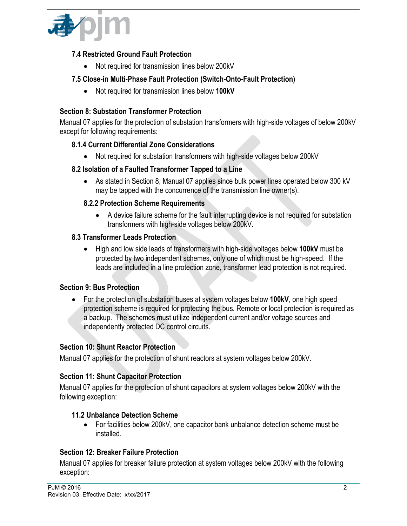

### **7.4 Restricted Ground Fault Protection**

• Not required for transmission lines below 200kV

### **7.5 Close-in Multi-Phase Fault Protection (Switch-Onto-Fault Protection)**

• Not required for transmission lines below **100kV**

### **Section 8: Substation Transformer Protection**

Manual 07 applies for the protection of substation transformers with high-side voltages of below 200kV except for following requirements:

### **8.1.4 Current Differential Zone Considerations**

• Not required for substation transformers with high-side voltages below 200kV

### **8.2 Isolation of a Faulted Transformer Tapped to a Line**

• As stated in Section 8, Manual 07 applies since bulk power lines operated below 300 kV may be tapped with the concurrence of the transmission line owner(s).

### **8.2.2 Protection Scheme Requirements**

• A device failure scheme for the fault interrupting device is not required for substation transformers with high-side voltages below 200kV.

### **8.3 Transformer Leads Protection**

• High and low side leads of transformers with high-side voltages below **100kV** must be protected by two independent schemes, only one of which must be high-speed. If the leads are included in a line protection zone, transformer lead protection is not required.

### **Section 9: Bus Protection**

• For the protection of substation buses at system voltages below **100kV**, one high speed protection scheme is required for protecting the bus. Remote or local protection is required as a backup. The schemes must utilize independent current and/or voltage sources and independently protected DC control circuits.

### **Section 10: Shunt Reactor Protection**

Manual 07 applies for the protection of shunt reactors at system voltages below 200kV.

### **Section 11: Shunt Capacitor Protection**

Manual 07 applies for the protection of shunt capacitors at system voltages below 200kV with the following exception:

#### **11.2 Unbalance Detection Scheme**

• For facilities below 200kV, one capacitor bank unbalance detection scheme must be installed.

#### **Section 12: Breaker Failure Protection**

Manual 07 applies for breaker failure protection at system voltages below 200kV with the following exception: